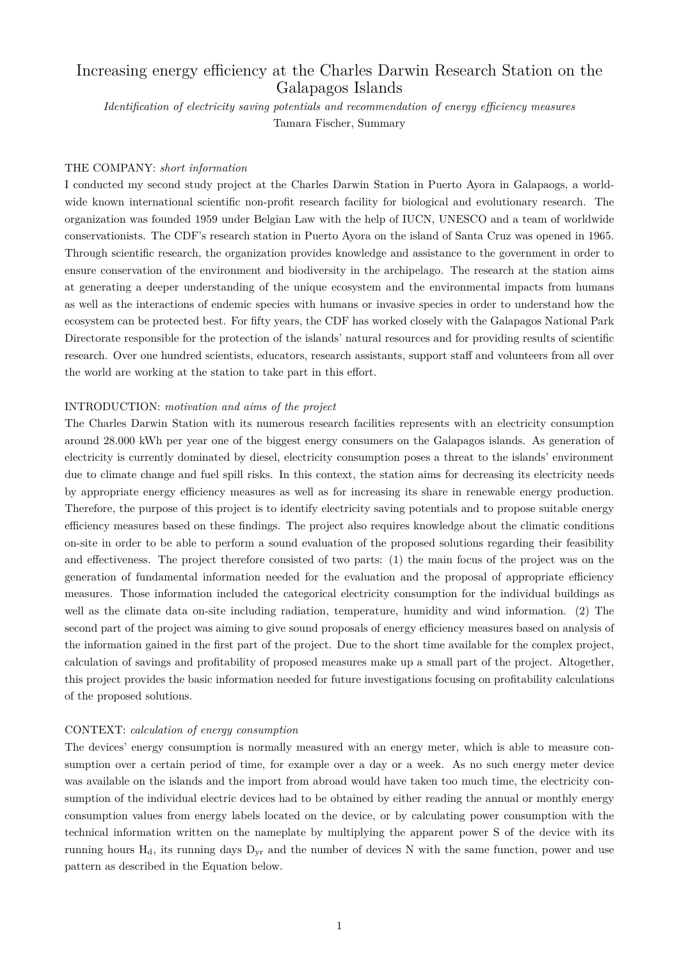# Increasing energy efficiency at the Charles Darwin Research Station on the Galapagos Islands

*Identification of electricity saving potentials and recommendation of energy efficiency measures* Tamara Fischer, Summary

# THE COMPANY: *short information*

I conducted my second study project at the Charles Darwin Station in Puerto Ayora in Galapaogs, a worldwide known international scientific non-profit research facility for biological and evolutionary research. The organization was founded 1959 under Belgian Law with the help of IUCN, UNESCO and a team of worldwide conservationists. The CDF's research station in Puerto Ayora on the island of Santa Cruz was opened in 1965. Through scientific research, the organization provides knowledge and assistance to the government in order to ensure conservation of the environment and biodiversity in the archipelago. The research at the station aims at generating a deeper understanding of the unique ecosystem and the environmental impacts from humans as well as the interactions of endemic species with humans or invasive species in order to understand how the ecosystem can be protected best. For fifty years, the CDF has worked closely with the Galapagos National Park Directorate responsible for the protection of the islands' natural resources and for providing results of scientific research. Over one hundred scientists, educators, research assistants, support staff and volunteers from all over the world are working at the station to take part in this effort.

#### INTRODUCTION: *motivation and aims of the project*

The Charles Darwin Station with its numerous research facilities represents with an electricity consumption around 28.000 kWh per year one of the biggest energy consumers on the Galapagos islands. As generation of electricity is currently dominated by diesel, electricity consumption poses a threat to the islands' environment due to climate change and fuel spill risks. In this context, the station aims for decreasing its electricity needs by appropriate energy efficiency measures as well as for increasing its share in renewable energy production. Therefore, the purpose of this project is to identify electricity saving potentials and to propose suitable energy efficiency measures based on these findings. The project also requires knowledge about the climatic conditions on-site in order to be able to perform a sound evaluation of the proposed solutions regarding their feasibility and effectiveness. The project therefore consisted of two parts: (1) the main focus of the project was on the generation of fundamental information needed for the evaluation and the proposal of appropriate efficiency measures. Those information included the categorical electricity consumption for the individual buildings as well as the climate data on-site including radiation, temperature, humidity and wind information. (2) The second part of the project was aiming to give sound proposals of energy efficiency measures based on analysis of the information gained in the first part of the project. Due to the short time available for the complex project, calculation of savings and profitability of proposed measures make up a small part of the project. Altogether, this project provides the basic information needed for future investigations focusing on profitability calculations of the proposed solutions.

### CONTEXT: *calculation of energy consumption*

The devices' energy consumption is normally measured with an energy meter, which is able to measure consumption over a certain period of time, for example over a day or a week. As no such energy meter device was available on the islands and the import from abroad would have taken too much time, the electricity consumption of the individual electric devices had to be obtained by either reading the annual or monthly energy consumption values from energy labels located on the device, or by calculating power consumption with the technical information written on the nameplate by multiplying the apparent power S of the device with its running hours  $H_d$ , its running days  $D_{vr}$  and the number of devices N with the same function, power and use pattern as described in the Equation below.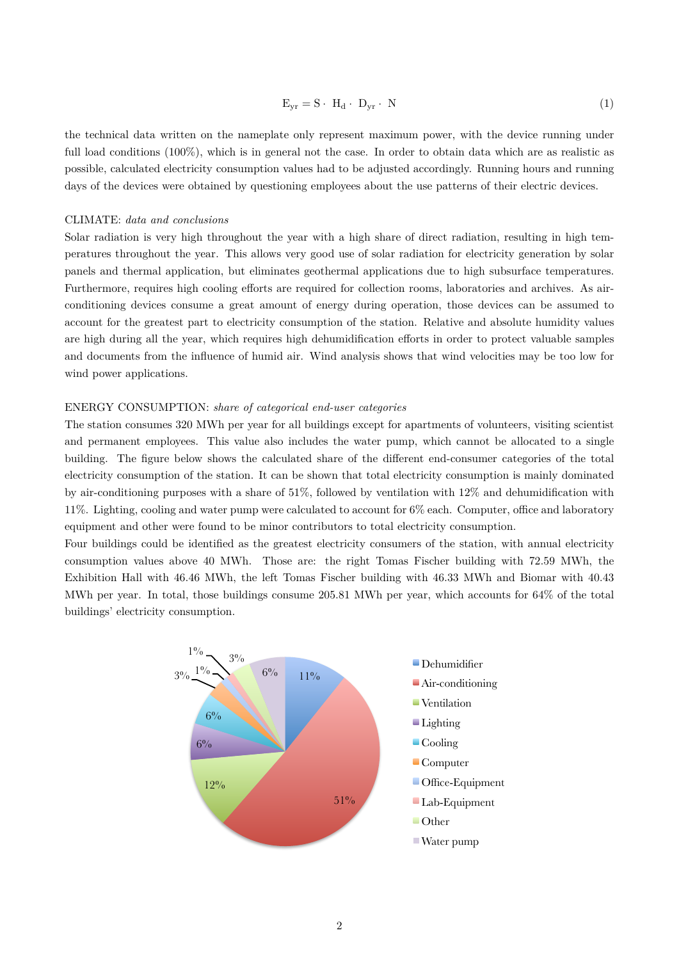$$
E_{yr} = S \cdot H_d \cdot D_{yr} \cdot N \tag{1}
$$

the technical data written on the nameplate only represent maximum power, with the device running under full load conditions (100%), which is in general not the case. In order to obtain data which are as realistic as possible, calculated electricity consumption values had to be adjusted accordingly. Running hours and running days of the devices were obtained by questioning employees about the use patterns of their electric devices.

### CLIMATE: *data and conclusions*

Solar radiation is very high throughout the year with a high share of direct radiation, resulting in high temperatures throughout the year. This allows very good use of solar radiation for electricity generation by solar panels and thermal application, but eliminates geothermal applications due to high subsurface temperatures. Furthermore, requires high cooling efforts are required for collection rooms, laboratories and archives. As airconditioning devices consume a great amount of energy during operation, those devices can be assumed to account for the greatest part to electricity consumption of the station. Relative and absolute humidity values are high during all the year, which requires high dehumidification efforts in order to protect valuable samples and documents from the influence of humid air. Wind analysis shows that wind velocities may be too low for wind power applications.

#### ENERGY CONSUMPTION: *share of categorical end-user categories*

The station consumes 320 MWh per year for all buildings except for apartments of volunteers, visiting scientist and permanent employees. This value also includes the water pump, which cannot be allocated to a single building. The figure below shows the calculated share of the different end-consumer categories of the total electricity consumption of the station. It can be shown that total electricity consumption is mainly dominated by air-conditioning purposes with a share of 51%, followed by ventilation with 12% and dehumidification with 11%. Lighting, cooling and water pump were calculated to account for 6% each. Computer, office and laboratory equipment and other were found to be minor contributors to total electricity consumption.

Four buildings could be identified as the greatest electricity consumers of the station, with annual electricity consumption values above 40 MWh. Those are: the right Tomas Fischer building with 72.59 MWh, the Exhibition Hall with 46.46 MWh, the left Tomas Fischer building with 46.33 MWh and Biomar with 40.43 MWh per year. In total, those buildings consume 205.81 MWh per year, which accounts for 64% of the total buildings' electricity consumption.